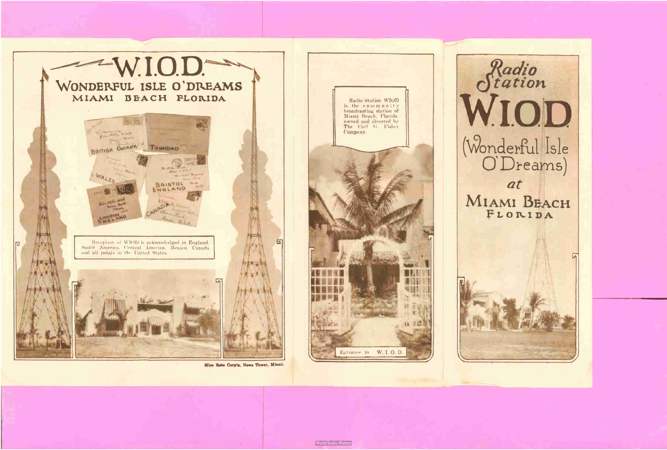

Mico Roto Corp'n, News Tower, Miami.

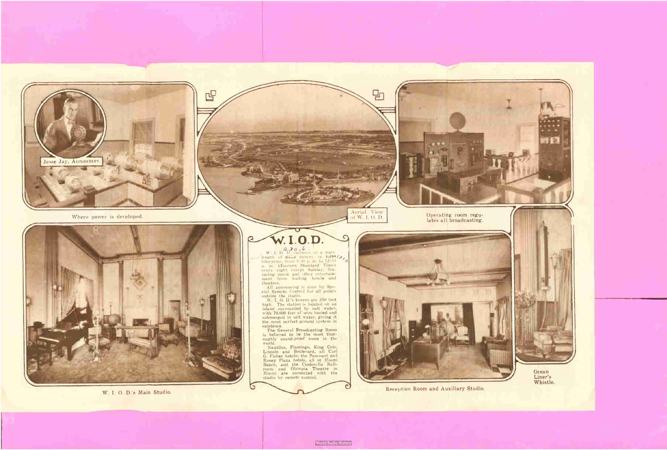

呜

 $W$ . I. O. D. operates on a wave length of <del>Line</del> meter-W. I. O. D. operates on a waye<br>length of 24,5 meters, or  $\frac{1.210}{6}$  /3  $\sigma$  / kilocycles, from 8:30 p. m. to 12:30 a. m.. ( Eastern Standard Time) every night except Sunday, featuring music and other entertainment from leading hotels and theatres.

All announcing is done by Spe-<br>cial Remote Control for all points cial Remote Control for all points

outside the studio. W. I. O. D.'s towers are 250 .feet high. The station is loçated on an island surrounded by salt water, with 70,000 feet of wire buried- and submerged in salt water, giving it the most perfect ground system in

Where power is developed.



W. I. 0. D.'s Main Studio.





existence. The General Broadcasting Room is believed . to be the most thoroughly sound- proof room In the

world. • Nautilus, Flamingo, King Cole, Lincoln and Boulevard, all Carl G. Fisher hotels; the Pancoast and Roney Plaza hotels, all at Miami Beach, and the Cinderella Ballroom and Olympia Theatre in Miami are connected with the studio by remote control.



Reception Room and Auxiliary Studio.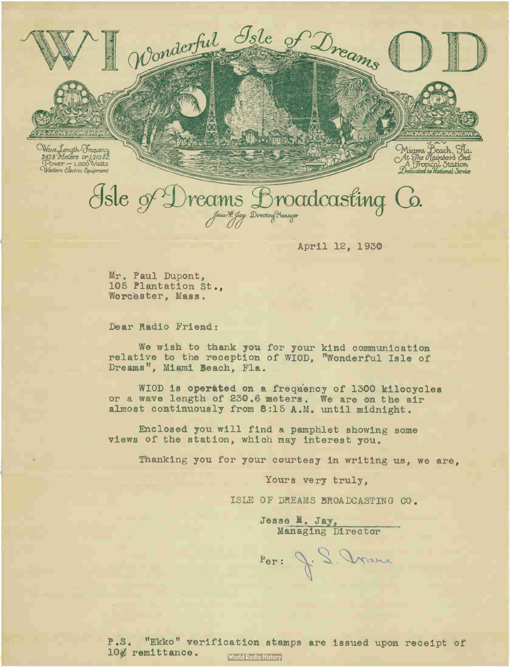Wave Length-Frequency<br>2478 Meters or 1210 KL<br>Power ~ 1.000 Watts<br>Western Electric Equipment

Miama Deach, Fla.<br>At The Rainbows Cnd<br>Dedicated to National Service

# He of Dreams Broadcasting Co.

Wonderful Isle

April 12, 1930

of Dreams

Mr. Paul Dupont, 105 Plantation St., Worcester, Mass.

Dear Radio Friend:

We wish to thank you for your kind communication relative to the reception of WIOD, "Wonderful Isle of Dreams", Miami Beach, Fla.

WIOD is operated on a frequency of 1300 kilocycles or a wave length of 230.6 meters. We are on the air almost continuously from 8:15 A.M. until midnight.

Enclosed you will find a pamphlet showing some views of the station, which may interest you.

Thanking you for your courtesy in writing us, we are,

Yours very truly,

ISLE OF DREAMS BROADCASTING CO.

Jesse M. Jay,<br>Managing Director

Por: J. S. Vranc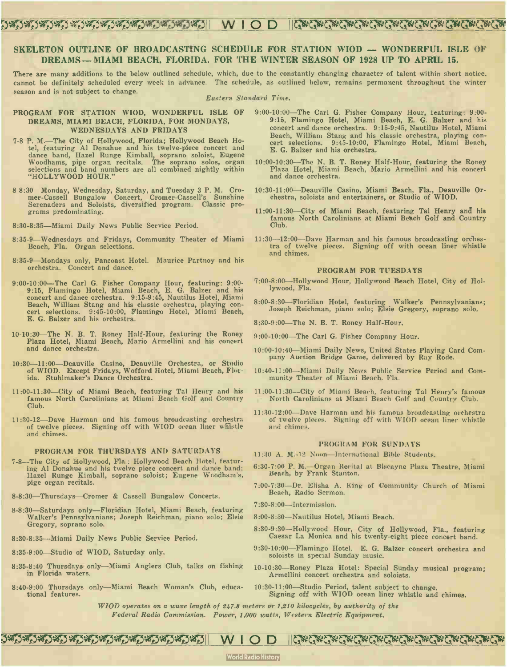# DwD\*DwD\*D'e5eD\*DwDerDegDwDtVeDll WIOD leoUGYUCv#U1'

## SKELETON OUTLINE OF BROADCASTING SCHEDULE FOR STATION WIOD — WONDERFUL ISLE OF DREAMS— MIAMI BEACH, FLORIDA, FOR THE WINTER SEASON OF 1928 UP TO APRIL 15.

There are many additions to the below outlined schedule, which, due to the constantly changing character of talent within short notice, cannot be definitely scheduled every week in advance. The schedule, as outlined below, remains permanent throughout the winter season and is not subject to change.

#### Eastern Standard Time.

# DREAMS, MIAMI BEACH, FLORIDA, FOR MONDAYS, WEDNESDAYS AND FRIDAYS

- 7-8 P. M.—The City of Hollywood, Florida; Hollywood Beach Hotel, featuring Al Donahue and his twelve-piece concert and dance band, Hazel Runge Kimball, soprano soloist, Eugene Woodhams, pipe organ recitals. The soprano solos, organ selections and band numbers are all combined nightly within "HOLLYWOOD HOUR."
- 8-8:30—Monday, Wednesday, Saturday, and Tuesday 3 P. M. Cromer-Cassell Bungalow Concert, Cromer-Cassell's Sunshine Serenaders and Soloists, diversified program. Classic programs predominating.
- 8:30-8:35—Miami Daily News Public Service Period.
- 8:35-9—Wednesdays and Fridays, Community Theater of Miami Beach, Fla. Organ selections.
- 8:35-9—Mondays only, Pancoast Hotel. Maurice Partnoy and his orchestra. Concert and dance.
- 9:00-10:00-The Carl G. Fisher Company Hour, featuring: 9:00-9:15, Flamingo Hotel, Miami Beach, E. G. Balzer and his concert and dance orchestra. 9:15-9:45, Nautilus Hotel, Miami Beach, William Stang and his classic orchestra, playing concert selections. 9:45-10:00, Flamingo Hotel, Miami Beach, E. G. Balzer and his orchestra.
- 10- 10:30—The N. B. T. Roney Half-Hour, featuring the Roney Plaza Hotel, Miami Beach, Mario Armellini and his concert and dance orchestra.
- 10:30-11:00—Deauville Casino, Deauville Orchestra, or Studio of WIOD. Except Fridays, Wofford Hotel, Miami Beach, Florida. Stuhlmaker's Dance Orchestra.
- 11:00-11:30-City of Miami Beach, featuring Tal Henry and his famous North Carolinians at Miami Beach Golf and Country Club.
- 11:30-12-Dave Harman and his famous broadcasting orchestra of twelve pieces. Signing off with WIOD ocean liner whistle and chimes.

#### PROGRAM FOR THURSDAYS AND SATURDAYS

- 7-8--The City of Hollywood, Fla.: Hollywood Beach Hotel, featuring Al Donahue and his twelve piece concert and dance band; Hazel Runge Kimball, soprano soloist; Eugene Woodham's, pige organ recitals.
- 8-8:30—Thursdays—Cromer & Cassell Bungalow Concerts.
- 8-8:30—Saturdays only—Floridian Hotel, Miami Beach, featuring Walker's Pennsylvanians; Joseph Reichman, piano solo; Elsie Gregory, soprano solo.
- 8:30-8:35—Miami Daily News Public Service Period.
- 8:35-9:00—Studio of WIOD, Saturday only.
- 8:35-8:40 Thursdays. only—Miami Anglers Club, talks on fishing in Florida waters.
- 8:40-9:00 Thursdays only—Miami Beach Woman's Club, educational features.
- PROGRAM FOR STATION WIOD, WONDERFUL ISLE OF 9:00-10:00—The Carl G. Fisher Company Hour, featuring: 9:00-9:15, Flamingo Hotel, Miami Beach, E. G. Balzer and his concert and dance orchestra. 9:15-9:45, Nautilus Hotel, Miami Beach, William Stang and his classic orchestra, playing concert selections. 9:45-10:00, Flamingo Hotel, Miami Beach, E. G. Balzer and his orchestra.
	- 10:00- 10:30—The N. B. T. Roney Half-Hour, featuring the Roney Plaza Hotel, Miami Beach, Mario Armellini and his concert and dance orchestra.
	- 10:30- 11:00—Deauville Casino, Miami Beach, Fla., Deauville Orchestra, soloists and entertainers, or Studio of WIOD.
	- 11:00-11:30—City of Miami Beach, featuring Tal Henry and his famous North Carolinians at Miami Beach Golf and Country Club.
	- 11:30-12:00—Dave Harman and his famous broadcasting orchestra of twelve pieces. Signing off with ocean liner whistle and chimes.

### PROGRAM FOR TUESDAYS

- 7:00-8:00—Hollywood Hour, Hollywood Beach Hotel, City of Hollywood, Fla.
- 8:00-8:30—Floridian Hotel, featuring Walker's Pennsylvanians; Joseph Reichman, piano solo; Elsie Gregory, soprano solo.
- 8:30-9:00-The N. B. T. Roney Half-Hour.
- 9:00-10:00—The Carl G. Fisher Company Hour.
- 10:00- 10:40—Miami Daily News, United States Playing Card Company Auction Bridge Game, delivered by Ray Rode.
- 10:40-11:00-Miami Daily News Public Service Period and Community Theater of Miami Beach, Fla.
- 11:00-11:30--City of Miami Beach, featuring Tal Henry's famous North Carolinians at Miami Beach Golf and Country Club.
- 11:30- 12:00—Dave Harman and his famous broadcasting orchestra of twelve pieces. Signing off with WIOD ocean liner whistle and chimes.

#### PROGRAM FOR SUNDAYS

- 11:30 A. M.-12 Noon—International Bible Students.
- 6:30-7:00 P. M.—Organ Recital at Biscayne Plaza Theatre, Miami Beach, by Frank Stanton.
- 7:00-7:30-Dr. Elisha A. King of Community Church of Miami Beach, Radio Sermon.
- 7:30-8:00—Intermission.
- 8:00-8:30—Nautilus Hotel, Miami Beach.
- 8:30-9:30—Hollywood Hour, City of Hollywood, Fla., featuring Caesar La Monica and his twen1y-eight piece concert band.
- 9:30-10:00—Flamingo Hotel. E. G. Balzer concert orchestra and soloists in special Sunday music.
- 10- 10:30—Roney Plaza Hotel: Special Sunday musical program; Armellini concert orchestra and soloists.
- 10:30-11:00-Studio Period, talent subject to change. Signing off with WIOD ocean liner whistle and chimes.

WIOD operates on a wave length of 247.8 meters or 1,210 kilocycles, by authority of the

Federal Radio Commission. Power, 1,000 watts, Western Electric Equipment.

**World Radio History** 

J#D#D#D#D#D#D#D#D#D#D#D#D| WIOD ||G#G#G#G#G#G#G#G#G#G#G#G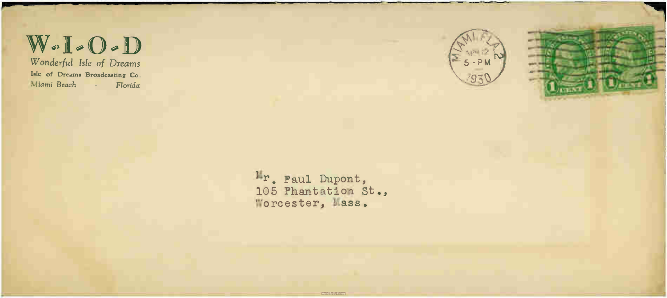$W - I - O - D$ Wonderful Isle of Dreams

Isle of Dreams Broadcasting Co. Miami Beach - Florida



Ir. Paul Dupont, 105 Phantation St., Worcester, Mass.

World Radio History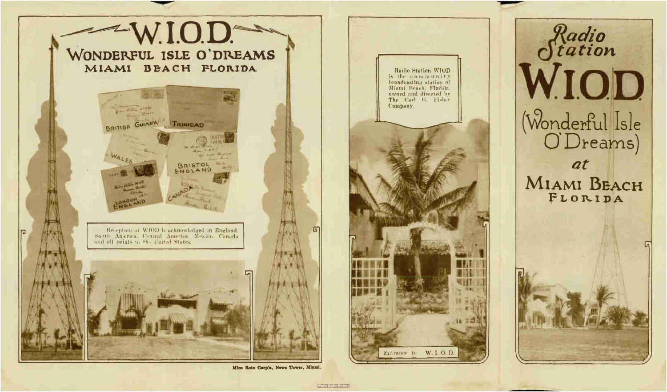

Mico Roto Corp'n, News Tower, Miami.

# Radio<br>Viation<br>W.I.O.D. (Wonderful Isle<br>O'Dreams) at MIAMI BEACH FLORIDA